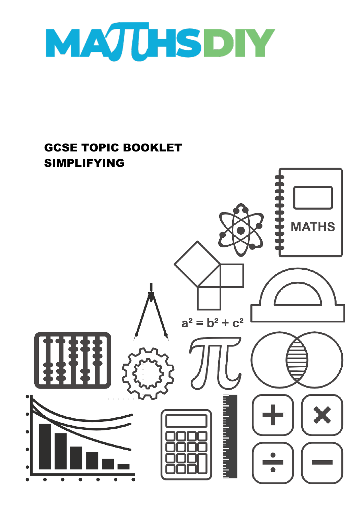

## GCSE TOPIC BOOKLET SIMPLIFYING $a^2 = b^2 + c^2$

**MATHS** 

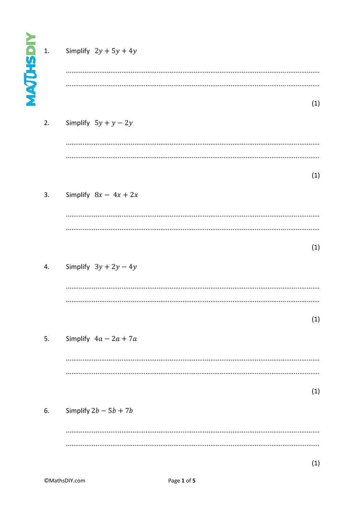| <b>MAJUHSHIV</b> | 1. | Simplify $2y + 5y + 4y$ |     |
|------------------|----|-------------------------|-----|
|                  | 2. | Simplify $5y + y - 2y$  | (1) |
|                  | 3. | Simplify $8x - 4x + 2x$ | (1) |
|                  | 4. | Simplify $3y + 2y - 4y$ | (1) |
|                  |    |                         | (1) |
|                  | 5. | Simplify $4a - 2a + 7a$ | (1) |
|                  | 6. | Simplify $2b - 5b + 7b$ |     |
|                  |    |                         |     |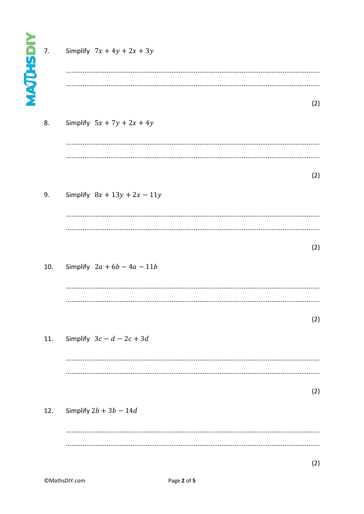| <b>MAJHSDIY</b> | 7.  | Simplify $7x + 4y + 2x + 3y$   |     |
|-----------------|-----|--------------------------------|-----|
|                 | 8.  | Simplify $5x + 7y + 2x + 4y$   | (2) |
|                 | 9.  | Simplify $8x + 13y + 2x - 11y$ | (2) |
|                 | 10. | Simplify $2a + 6b - 4a - 11b$  | (2) |
|                 | 11. | Simplify $3c-d-2c+3d$          | (2) |
|                 | 12. | Simplify $2b + 3b - 14d$       | (2) |
|                 |     |                                |     |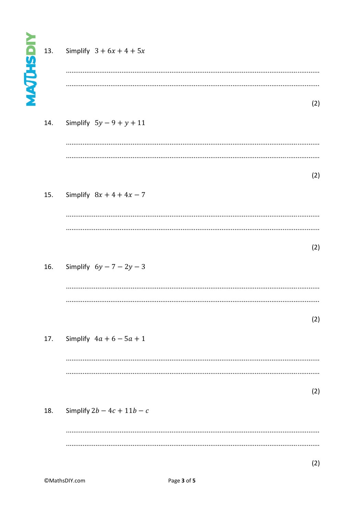| <b>MAJHSDIY</b> | 13. | Simplify $3 + 6x + 4 + 5x$     | (2) |
|-----------------|-----|--------------------------------|-----|
|                 | 14. | Simplify $5y - 9 + y + 11$     |     |
|                 | 15. | Simplify $8x + 4 + 4x - 7$     | (2) |
|                 | 16. | Simplify $6y - 7 - 2y - 3$     | (2) |
|                 | 17. | <br>Simplify $4a + 6 - 5a + 1$ | (2) |
|                 | 18. | Simplify $2b - 4c + 11b - c$   | (2) |
|                 |     |                                |     |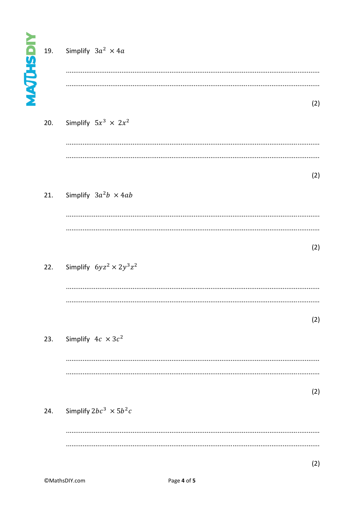| <b>NAJUSHOM</b> |     | 19. Simplify $3a^2 \times 4a$       |     |
|-----------------|-----|-------------------------------------|-----|
|                 | 20. | Simplify $5x^3 \times 2x^2$         | (2) |
|                 | 21. | Simplify $3a^2b \times 4ab$         | (2) |
|                 |     | 22. Simplify $6yz^2 \times 2y^3z^2$ | (2) |
|                 | 23. | Simplify $4c \times 3c^2$           | (2) |
|                 | 24. | Simplify $2bc^3 \times 5b^2c$       | (2) |
|                 |     |                                     |     |